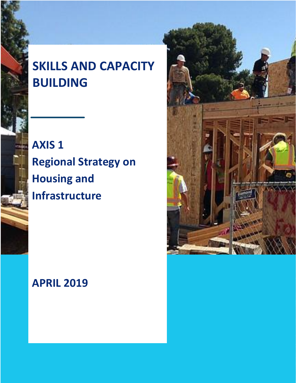# **SKILLS AND CAPACITY BUILDING**

**AXIS 1 Regional Strategy on Housing and Infrastructure**

# **APRIL 2019**

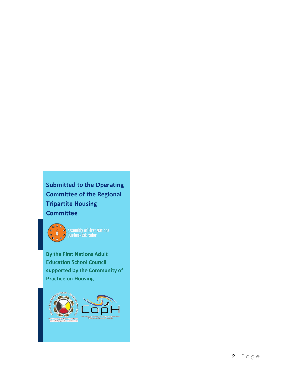**Submitted to the Operating Committee of the Regional Tripartite Housing Committee**



Assembly of First Nations<br>Quebec-Labrador

**By the First Nations Adult Education School Council supported by the Community of Practice on Housing**

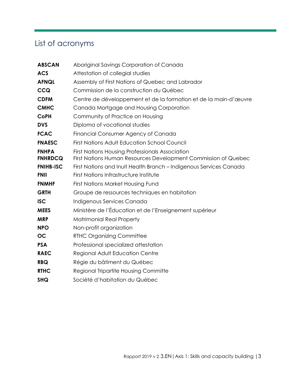# <span id="page-2-0"></span>List of acronyms

| <b>ABSCAN</b>                  | Aboriginal Savings Corporation of Canada                                                                                 |
|--------------------------------|--------------------------------------------------------------------------------------------------------------------------|
| <b>ACS</b>                     | Attestation of collegial studies                                                                                         |
| <b>AFNQL</b>                   | Assembly of First Nations of Quebec and Labrador                                                                         |
| <b>CCQ</b>                     | Commission de la construction du Québec                                                                                  |
| <b>CDFM</b>                    | Centre de développement et de la formation et de la main-d'œuvre                                                         |
| <b>CMHC</b>                    | Canada Mortgage and Housing Corporation                                                                                  |
| <b>CoPH</b>                    | Community of Practice on Housing                                                                                         |
| <b>DVS</b>                     | Diploma of vocational studies                                                                                            |
| <b>FCAC</b>                    | Financial Consumer Agency of Canada                                                                                      |
| <b>FNAESC</b>                  | <b>First Nations Adult Education School Council</b>                                                                      |
| <b>FNHPA</b><br><b>FNHRDCQ</b> | <b>First Nations Housing Professionals Association</b><br>First Nations Human Resources Development Commission of Quebec |
| <b>FNIHB-ISC</b>               | First Nations and Inuit Health Branch - Indigenous Services Canada                                                       |
| <b>FNII</b>                    | First Nations Infrastructure Institute                                                                                   |
| <b>FNMHF</b>                   | First Nations Market Housing Fund                                                                                        |
| <b>GRTH</b>                    | Groupe de ressources techniques en habitation                                                                            |
| <b>ISC</b>                     | Indigenous Services Canada                                                                                               |
| <b>MEES</b>                    | Ministère de l'Éducation et de l'Enseignement supérieur                                                                  |
| <b>MRP</b>                     | <b>Matrimonial Real Property</b>                                                                                         |
| <b>NPO</b>                     | Non-profit organization                                                                                                  |
| <b>OC</b>                      | <b>RTHC Organizing Committee</b>                                                                                         |
| <b>PSA</b>                     | Professional specialized attestation                                                                                     |
| <b>RAEC</b>                    | Regional Adult Education Centre                                                                                          |
| <b>RBQ</b>                     | Régie du bâtiment du Québec                                                                                              |
| <b>RTHC</b>                    | <b>Regional Tripartite Housing Committe</b>                                                                              |
| <b>SHQ</b>                     | Société d'habitation du Québec                                                                                           |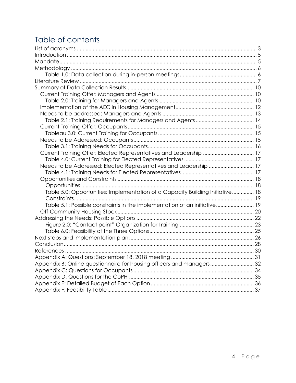# Table of contents

| Current Training Offer: Elected Representatives and Leadership  17            |  |
|-------------------------------------------------------------------------------|--|
|                                                                               |  |
| Needs to be Addressed: Elected Representatives and Leadership  17             |  |
|                                                                               |  |
|                                                                               |  |
|                                                                               |  |
| Table 5.0: Opportunities: Implementation of a Capacity Building Initiative 18 |  |
|                                                                               |  |
| Table 5.1: Possible constraints in the implementation of an initiative 19     |  |
|                                                                               |  |
|                                                                               |  |
|                                                                               |  |
|                                                                               |  |
|                                                                               |  |
|                                                                               |  |
|                                                                               |  |
|                                                                               |  |
| Appendix B: Online questionnaire for housing officers and managers32          |  |
|                                                                               |  |
|                                                                               |  |
|                                                                               |  |
|                                                                               |  |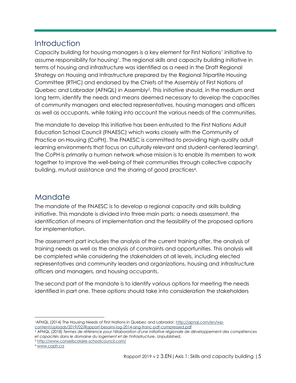# <span id="page-4-0"></span>**Introduction**

Capacity building for housing managers is a key element for First Nations' initiative to assume responsibility for housing<sup>1</sup>. The regional skills and capacity building initiative in terms of housing and infrastructure was identified as a need in the Draft Regional Strategy on Housing and Infrastructure prepared by the Regional Tripartite Housing Committee (RTHC) and endorsed by the Chiefs of the Assembly of First Nations of Quebec and Labrador (AFNQL) in Assembly<sup>2</sup> . This initiative should, in the medium and long term, identify the needs and means deemed necessary to develop the capacities of community managers and elected representatives, housing managers and officers as well as occupants, while taking into account the various needs of the communities.

The mandate to develop this initiative has been entrusted to the First Nations Adult Education School Council (FNAESC) which works closely with the Community of Practice on Housing (CoPH). The FNAESC is committed to providing high quality adult learning environments that focus on culturally relevant and student-centered learning<sup>3</sup>. The CoPH is primarily a human network whose mission is to enable its members to work together to improve the well-being of their communities through collective capacity building, mutual assistance and the sharing of good practices<sup>4</sup> .

## <span id="page-4-1"></span>Mandate

The mandate of the FNAESC is to develop a regional capacity and skills building initiative. This mandate is divided into three main parts: a needs assessment, the identification of means of implementation and the feasibility of the proposed options for implementation.

The assessment part includes the analysis of the current training offer, the analysis of training needs as well as the analysis of constraints and opportunities. This analysis will be completed while considering the stakeholders at all levels, including elected representatives and community leaders and organizations, housing and infrastructure officers and managers, and housing occupants.

The second part of the mandate is to identify various options for meeting the needs identified in part one. These options should take into consideration the stakeholders

 1AFNQL (2014) The Housing Needs of First Nations in Quebec and Labrador[. http://apnql.com/en/wp](http://apnql.com/en/wp-content/uploads/2019/02/Rapport-besoins-log-2014-ang-franc-pdf-compressed.pdf)[content/uploads/2019/02/Rapport-besoins-log-2014-ang-franc-pdf-compressed.pdf](http://apnql.com/en/wp-content/uploads/2019/02/Rapport-besoins-log-2014-ang-franc-pdf-compressed.pdf) 

<sup>2</sup> AFNQL (2018) *Termes de référence pour l'élaboration d'une initiative régionale de développement des compétences et capacités dans le domaine du logement et de l'infrastructure*. Unpublished.

<sup>3</sup> <http://www.conseilscolaire-schoolcouncil.com/>

<sup>4</sup> [www.coph.ca](http://www.coph.ca/)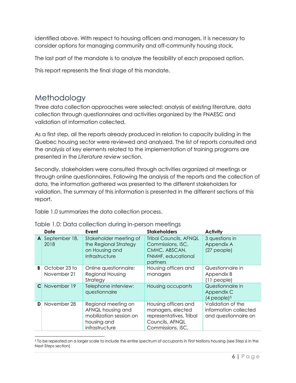identified above. With respect to housing officers and managers, it is necessary to consider options for managing community and off-community housing stock.

The last part of the mandate is to analyze the feasibility of each proposed option.

This report represents the final stage of this mandate.

## <span id="page-5-0"></span>Methodology

 $\overline{a}$ 

Three data collection approaches were selected: analysis of existing literature, data collection through questionnaires and activities organized by the FNAESC and validation of information collected.

As a first step, all the reports already produced in relation to capacity building in the Quebec housing sector were reviewed and analyzed. The list of reports consulted and the analysis of key elements related to the implementation of training programs are presented in the *Literature review* section.

Secondly, stakeholders were consulted through activities organized at meetings or through online questionnaires. Following the analysis of the reports and the collection of data, the information gathered was presented to the different stakeholders for validation. The summary of this information is presented in the different sections of this report.

Table 1.0 summarizes the data collection process.

|   | Date                         | Event                                                                                                | <b>Stakeholders</b>                                                                                          | <b>Activity</b>                                                    |
|---|------------------------------|------------------------------------------------------------------------------------------------------|--------------------------------------------------------------------------------------------------------------|--------------------------------------------------------------------|
|   | A September 18,<br>2018      | Stakeholder meeting of<br>the Regional Strategy<br>on Housing and<br>Infrastructure                  | <b>Tribal Councils, AFNQL</b><br>Commissions, ISC,<br>CMHC, ABSCAN,<br>FNMHF, educational<br>partners        | 3 questions in<br>Appendix A<br>(27 people)                        |
| B | October 23 to<br>November 21 | Online questionnaire:<br>Regional Housing<br>Strategy                                                | Housing officers and<br>managers                                                                             | Questionnaire in<br>Appendix B<br>11 people)                       |
| C | November 19                  | Telephone interview:<br>questionnaire                                                                | Housing occupants                                                                                            | Questionnaire in<br>Appendix C<br>$(4$ people $)^5$                |
| D | November 28                  | Regional meeting on<br>AFNQL housing and<br>mobilization session on<br>housing and<br>infrastructure | Housing officers and<br>managers, elected<br>representatives, Tribal<br>Councils, AFNQL<br>Commissions, ISC, | Validation of the<br>information collected<br>and questionnaire on |

#### <span id="page-5-1"></span>Table 1.0: Data collection during in-person meetings

<sup>5</sup> To be repeated on a larger scale to include the entire spectrum of occupants in First Nations housing (see Step 6 in the Next Steps section)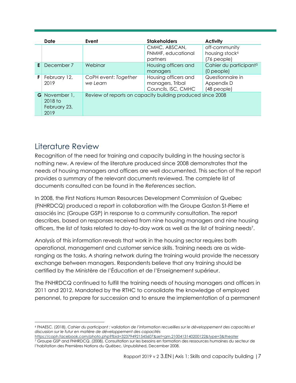|    | Date                                           | Event                                                      | <b>Stakeholders</b>                                             | <b>Activity</b>                                            |
|----|------------------------------------------------|------------------------------------------------------------|-----------------------------------------------------------------|------------------------------------------------------------|
|    |                                                |                                                            | CMHC, ABSCAN,<br>FNMHF, educational<br>partners                 | off-community<br>housing stock <sup>6</sup><br>(76 people) |
| E  | December 7                                     | Webinar                                                    | Housing officers and<br>managers                                | Cahier du participant <sup>5</sup><br>$(0$ people $)$      |
| F. | February 12,<br>2019                           | CoPH event: Together<br>we Learn                           | Housing officers and<br>managers, Tribal<br>Councils, ISC, CMHC | Questionnaire in<br>Appendix D<br>(48 people)              |
| G  | November 1,<br>2018 to<br>February 23,<br>2019 | Review of reports on capacity building produced since 2008 |                                                                 |                                                            |

## <span id="page-6-0"></span>Literature Review

Recognition of the need for training and capacity building in the housing sector is nothing new. A review of the literature produced since 2008 demonstrates that the needs of housing managers and officers are well documented. This section of the report provides a summary of the relevant documents reviewed. The complete list of documents consulted can be found in the *References* section.

In 2008, the First Nations Human Resources Development Commission of Quebec (FNHRDCQ) produced a report in collaboration with the Groupe Gaston St-Pierre et associés inc (Groupe GSP) in response to a community consultation. The report describes, based on responses received from nine housing managers and nine housing officers, the list of tasks related to day-to-day work as well as the list of training needs<sup>7</sup> .

Analysis of this information reveals that work in the housing sector requires both operational, management and customer service skills. Training needs are as wideranging as the tasks. A sharing network during the training would provide the necessary exchange between managers. Respondents believe that any training should be certified by the Ministère de l'Éducation et de l'Enseignement supérieur.

The FNHRDCQ continued to fulfill the training needs of housing managers and officers in 2011 and 2012. Mandated by the RTHC to consolidate the knowledge of employed personnel, to prepare for succession and to ensure the implementation of a permanent

 $\overline{a}$ <sup>6</sup> FNAESC. (2018). *Cahier du participant : validation de l'information recueillies sur le développement des capacités et discussion sur le futur en matière de développement des capacités*

<https://coph.facebook.com/photo.php?fbid=323794921545607&set=gm.2100413140200122&type=3&theater> <sup>7</sup> Groupe GSP and FNHRDCQ. (2008). Consultation sur les besoins en formation des ressources humaines du secteur de l'habitation des Premières Nations du Québec. Unpublished, December 2008.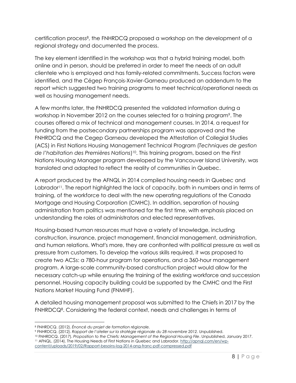certification process<sup>8</sup>, the FNHRDCQ proposed a workshop on the development of a regional strategy and documented the process.

The key element identified in the workshop was that a hybrid training model, both online and in person, should be preferred in order to meet the needs of an adult clientele who is employed and has family-related commitments. Success factors were identified, and the Cégep François-Xavier-Garneau produced an addendum to the report which suggested two training programs to meet technical/operational needs as well as housing management needs.

A few months later, the FNHRDCQ presented the validated information during a workshop in November 2012 on the courses selected for a training program<sup>9</sup>. The courses offered a mix of technical and management courses. In 2014, a request for funding from the postsecondary partnerships program was approved and the FNHRDCQ and the Cegep Garneau developed the Attestation of Collegial Studies (ACS) in First Nations Housing Management Technical Program (*Techniques de gestion de l'habitation des Premières Nations*) 10 . This training program, based on the First Nations Housing Manager program developed by the Vancouver Island University, was translated and adapted to reflect the reality of communities in Quebec.

A report produced by the AFNQL in 2014 compiled housing needs in Quebec and Labrador<sup>11</sup>. The report highlighted the lack of capacity, both in numbers and in terms of training, of the workforce to deal with the new operating regulations of the Canada Mortgage and Housing Corporation (CMHC). In addition, separation of housing administration from politics was mentioned for the first time, with emphasis placed on understanding the roles of administrators and elected representatives.

Housing-based human resources must have a variety of knowledge, including construction, insurance, project management, financial management, administration, and human relations. What's more, they are confronted with political pressure as well as pressure from customers. To develop the various skills required, it was proposed to create two ACSs: a 780-hour program for operations, and a 360-hour management program. A large-scale community-based construction project would allow for the necessary catch-up while ensuring the training of the existing workforce and succession personnel. Housing capacity building could be supported by the CMHC and the First Nations Market Housing Fund (FNMHF).

A detailed housing management proposal was submitted to the Chiefs in 2017 by the FNHRDCQ<sup>8</sup> . Considering the federal context, needs and challenges in terms of

 $\overline{a}$ <sup>8</sup> FNHRDCQ. (2012). *Énoncé du projet de formation régionale.*

<sup>9</sup> FNHRDCQ. (2012). *Rapport de l'atelier sur la stratégie régionale du 28 novembre 2012.* Unpublished.

<sup>10</sup> FNHRDCQ. (2017). *Proposition to the Chiefs: Management of the Regional Housing File*. Unpublished, January 2017. <sup>11</sup> AFNQL. (2014). The Housing Needs of First Nations in Quebec and Labrador[. http://apnql.com/en/wp](http://apnql.com/en/wp-content/uploads/2019/02/Rapport-besoins-log-2014-ang-franc-pdf-compressed.pdf)[content/uploads/2019/02/Rapport-besoins-log-2014-ang-franc-pdf-compressed.pdf](http://apnql.com/en/wp-content/uploads/2019/02/Rapport-besoins-log-2014-ang-franc-pdf-compressed.pdf)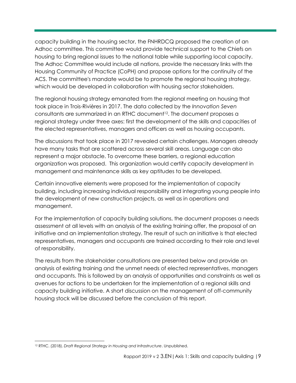capacity building in the housing sector, the FNHRDCQ proposed the creation of an Adhoc committee. This committee would provide technical support to the Chiefs on housing to bring regional issues to the national table while supporting local capacity. The Adhoc Committee would include all nations, provide the necessary links with the Housing Community of Practice (CoPH) and propose options for the continuity of the ACS. The committee's mandate would be to promote the regional housing strategy, which would be developed in collaboration with housing sector stakeholders.

The regional housing strategy emanated from the regional meeting on housing that took place in Trois-Rivières in 2017. The data collected by the *Innovation Seven* consultants are summarized in an RTHC document<sup>12</sup>. The document proposes a regional strategy under three axes: first the development of the skills and capacities of the elected representatives, managers and officers as well as housing occupants.

The discussions that took place in 2017 revealed certain challenges. Managers already have many tasks that are scattered across several skill areas. Language can also represent a major obstacle. To overcome these barriers, a regional education organization was proposed. This organization would certify capacity development in management and maintenance skills as key aptitudes to be developed.

Certain innovative elements were proposed for the implementation of capacity building, including increasing individual responsibility and integrating young people into the development of new construction projects, as well as in operations and management.

For the implementation of capacity building solutions, the document proposes a needs assessment at all levels with an analysis of the existing training offer, the proposal of an initiative and an implementation strategy. The result of such an initiative is that elected representatives, managers and occupants are trained according to their role and level of responsibility.

The results from the stakeholder consultations are presented below and provide an analysis of existing training and the unmet needs of elected representatives, managers and occupants. This is followed by an analysis of opportunities and constraints as well as avenues for actions to be undertaken for the implementation of a regional skills and capacity building initiative. A short discussion on the management of off-community housing stock will be discussed before the conclusion of this report.

 <sup>12</sup> RTHC. (2018). *Draft Regional Strategy in Housing and Infrastructure*. Unpublished.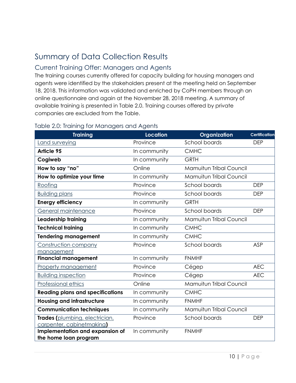# <span id="page-9-0"></span>Summary of Data Collection Results

### <span id="page-9-1"></span>Current Training Offer: Managers and Agents

The training courses currently offered for capacity building for housing managers and agents were identified by the stakeholders present at the meeting held on September 18, 2018. This information was validated and enriched by CoPH members through an online questionnaire and again at the November 28, 2018 meeting. A summary of available training is presented in Table 2.0. Training courses offered by private companies are excluded from the Table.

| <b>Training</b>                                          | <b>Location</b> | Organization                   | <b>Certification</b> |
|----------------------------------------------------------|-----------------|--------------------------------|----------------------|
| Land surveying                                           | Province        | School boards                  | <b>DEP</b>           |
| <b>Article 95</b>                                        | In community    | <b>CMHC</b>                    |                      |
| Cogiweb                                                  | In community    | <b>GRTH</b>                    |                      |
| How to say "no"                                          | Online          | Mamuitun Tribal Council        |                      |
| How to optimize your time                                | In community    | <b>Mamuitun Tribal Council</b> |                      |
| Roofing                                                  | Province        | School boards                  | <b>DEP</b>           |
| <b>Building plans</b>                                    | Province        | School boards                  | <b>DEP</b>           |
| <b>Energy efficiency</b>                                 | In community    | <b>GRTH</b>                    |                      |
| General maintenance                                      | Province        | School boards                  | <b>DEP</b>           |
| Leadership training                                      | In community    | Mamuitun Tribal Council        |                      |
| <b>Technical training</b>                                | In community    | <b>CMHC</b>                    |                      |
| <b>Tendering management</b>                              | In community    | <b>CMHC</b>                    |                      |
| Construction company                                     | Province        | School boards                  | <b>ASP</b>           |
| management                                               |                 |                                |                      |
| <b>Financial management</b>                              | In community    | <b>FNMHF</b>                   |                      |
| <b>Property management</b>                               | Province        | Cégep                          | <b>AEC</b>           |
| <b>Building inspection</b>                               | Province        | Cégep                          | <b>AEC</b>           |
| Professional ethics                                      | Online          | <b>Mamuitun Tribal Council</b> |                      |
| <b>Reading plans and specifications</b>                  | In community    | <b>CMHC</b>                    |                      |
| <b>Housing and infrastructure</b>                        | In community    | <b>FNMHF</b>                   |                      |
| <b>Communication techniques</b>                          | In community    | <b>Mamuitun Tribal Council</b> |                      |
| Trades (plumbing, electrician,                           | Province        | School boards                  | <b>DEP</b>           |
| carpenter, cabinet making)                               |                 |                                |                      |
| Implementation and expansion of<br>the home loan program | In community    | <b>FNMHF</b>                   |                      |
|                                                          |                 |                                |                      |

#### <span id="page-9-2"></span>Table 2.0: Training for Managers and Agents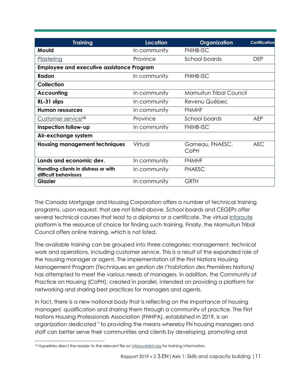| <b>Training</b>                                              | <b>Location</b> | Organization             | <b>Certification</b> |
|--------------------------------------------------------------|-----------------|--------------------------|----------------------|
| Mould                                                        | In community    | <b>FNIHB-ISC</b>         |                      |
| Plastering                                                   | Province        | School boards            | <b>DEP</b>           |
| <b>Employee and executive assistance Program</b>             |                 |                          |                      |
| Radon                                                        | In community    | <b>FNIHB-ISC</b>         |                      |
| Collection                                                   |                 |                          |                      |
| <b>Accounting</b>                                            | In community    | Mamuitun Tribal Council  |                      |
| RL-31 slips                                                  | In community    | Revenu Québec            |                      |
| <b>Human resources</b>                                       | In community    | <b>FNMHF</b>             |                      |
| Customer service <sup>13</sup>                               | Province        | School boards            | <b>AEP</b>           |
| Inspection follow-up                                         | In community    | <b>FNIHB-ISC</b>         |                      |
| Air-exchange system                                          |                 |                          |                      |
| <b>Housing management techniques</b>                         | Virtual         | Garneau, FNAESC,<br>CoPH | <b>AEC</b>           |
| Lands and economic dev.                                      | In community    | <b>FNMHF</b>             |                      |
| Handling clients in distress or with<br>difficult behaviours | In community    | <b>FNAESC</b>            |                      |
| <b>Glazier</b>                                               | In community    | <b>GRTH</b>              |                      |

The Canada Mortgage and Housing Corporation offers a number of technical training programs, upon request, that are not listed above. School boards and CEGEPs offer several technical courses that lead to a diploma or a certificate. The virtual [Inforoute](https://www.inforoutefpt.org/rechProg.aspx?langue=fr) platform is the resource of choice for finding such training. Finally, the Mamuitun Tribal Council offers online training, which is not listed.

The available training can be grouped into three categories: management, technical work and operations, including customer service. This is a result of the expanded role of the housing manager or agent. The implementation of the First Nations Housing Management Program (*Techniques en gestion de l'habitation des Premières Nations)* has attempted to meet the various needs of managers. In addition, the Community of Practice on Housing (CoPH), created in parallel, intended on providing a platform for networking and sharing best practices for managers and agents.

In fact, there is a new national body that is reflecting on the importance of housing managers' qualification and sharing them through a community of practice. The First Nations Housing Professionals Association (FNHPA), established in 2019, is an organization dedicated " to providing the means whereby FN housing managers and staff can better serve their communities and clients by developing, promoting and

 13 Hyperlinks direct the reader to the relevant file on [inforoutefpt.org](https://www.inforoutefpt.org/rechProg.aspx?langue=fr) for training information.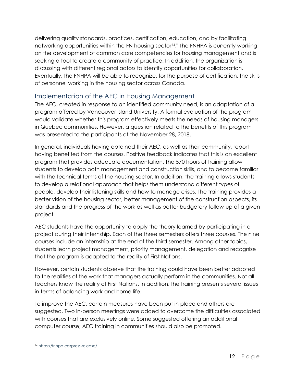delivering quality standards, practices, certification, education, and by facilitating networking opportunities within the FN housing sector<sup>14</sup>." The FNHPA is currently working on the development of common core competencies for housing management and is seeking a tool to create a community of practice. In addition, the organization is discussing with different regional actors to identify opportunities for collaboration. Eventually, the FNHPA will be able to recognize, for the purpose of certification, the skills of personnel working in the housing sector across Canada.

### <span id="page-11-0"></span>Implementation of the AEC in Housing Management

The AEC, created in response to an identified community need, is an adaptation of a program offered by Vancouver Island University. A formal evaluation of the program would validate whether this program effectively meets the needs of housing managers in Quebec communities. However, a question related to the benefits of this program was presented to the participants at the November 28, 2018.

In general, individuals having obtained their AEC, as well as their community, report having benefited from the courses. Positive feedback indicates that this is an excellent program that provides adequate documentation. The 570 hours of training allow students to develop both management and construction skills, and to become familiar with the technical terms of the housing sector. In addition, the training allows students to develop a relational approach that helps them understand different types of people, develop their listening skills and how to manage crises. The training provides a better vision of the housing sector, better management of the construction aspects, its standards and the progress of the work as well as better budgetary follow-up of a given project.

AEC students have the opportunity to apply the theory learned by participating in a project during their internship. Each of the three semesters offers three courses. The nine courses include an internship at the end of the third semester. Among other topics, students learn project management, priority management, delegation and recognize that the program is adapted to the reality of First Nations.

However, certain students observe that the training could have been better adapted to the realities of the work that managers actually perform in the communities. Not all teachers know the reality of First Nations. In addition, the training presents several issues in terms of balancing work and home life.

To improve the AEC, certain measures have been put in place and others are suggested. Two in-person meetings were added to overcome the difficulties associated with courses that are exclusively online. Some suggested offering an additional computer course; AEC training in communities should also be promoted.

<sup>14</sup> <https://fnhpa.ca/press-release/>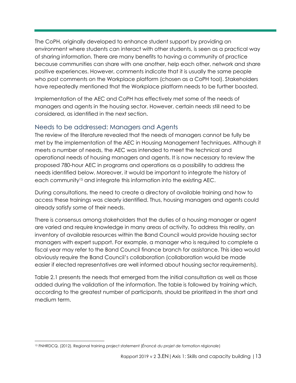The CoPH, originally developed to enhance student support by providing an environment where students can interact with other students, is seen as a practical way of sharing information. There are many benefits to having a community of practice because communities can share with one another, help each other, network and share positive experiences. However, comments indicate that it is usually the same people who post comments on the Workplace platform (chosen as a CoPH tool). Stakeholders have repeatedly mentioned that the Workplace platform needs to be further boosted.

Implementation of the AEC and CoPH has effectively met some of the needs of managers and agents in the housing sector. However, certain needs still need to be considered, as identified in the next section.

### <span id="page-12-0"></span>Needs to be addressed: Managers and Agents

The review of the literature revealed that the needs of managers cannot be fully be met by the implementation of the AEC in Housing Management Techniques. Although it meets a number of needs, the AEC was intended to meet the technical and operational needs of housing managers and agents. It is now necessary to review the proposed 780-hour AEC in programs and operations as a possibility to address the needs identified below. Moreover, it would be important to integrate the history of each community<sup>15</sup> and integrate this information into the existing AEC.

During consultations, the need to create a directory of available training and how to access these trainings was clearly identified. Thus, housing managers and agents could already satisfy some of their needs.

There is consensus among stakeholders that the duties of a housing manager or agent are varied and require knowledge in many areas of activity. To address this reality, an inventory of available resources within the Band Council would provide housing sector managers with expert support. For example, a manager who is required to complete a fiscal year may refer to the Band Council finance branch for assistance. This idea would obviously require the Band Council's collaboration (collaboration would be made easier if elected representatives are well informed about housing sector requirements).

Table 2.1 presents the needs that emerged from the initial consultation as well as those added during the validation of the information. The table is followed by training which, according to the greatest number of participants, should be prioritized in the short and medium term.

 <sup>15</sup> FNHRDCQ. (2012). Regional training project statement (*Énoncé du projet de formation régionale*)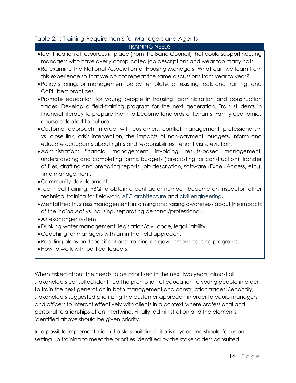#### <span id="page-13-0"></span>Table 2.1: Training Requirements for Managers and Agents

#### TRAINING NEEDS

- Identification of resources in place (from the Band Council) that could support housing managers who have overly complicated job descriptions and wear too many hats.
- Re-examine the National Association of Housing Managers: What can we learn from this experience so that we do not repeat the same discussions from year to year?
- Policy sharing, or management policy template, all existing tools and training, and CoPH best practices.
- Promote education for young people in housing, administration and construction trades. Develop a field-training program for the next generation. Train students in financial literacy to prepare them to become landlords or tenants. Family economics course adapted to culture.
- Customer approach: interact with customers, conflict management, professionalism vs. close link, crisis intervention, the impacts of non-payment, budgets, inform and educate occupants about rights and responsibilities, tenant visits, eviction.
- Administration: financial management, invoicing, results-based management, understanding and completing forms, budgets (forecasting for construction), transfer of files, drafting and preparing reports, job description, software (Excel, Access, etc.), time management.
- Community development.
- Technical training: RBQ to obtain a contractor number, become an inspector, other technical training for fieldwork, [AEC architecture](https://www.inforoutefpt.org/offreColDet.aspx?offre=15196&sanction=2) and [civil engineering](https://www.inforoutefpt.org/progColDet.aspx?prog=302&sanction=1)**.**
- Mental health, stress management: informing and raising awareness about the impacts of the *Indian Act* vs. housing, separating personal/professional.
- Air exchanger system
- Drinking water management, legislation/civil code, legal liability.
- Coaching for managers with an in-the-field approach.
- Reading plans and specifications; training on government housing programs.
- How to work with political leaders.

When asked about the needs to be prioritized in the next two years, almost all stakeholders consulted identified the promotion of education to young people in order to train the next generation in both management and construction trades. Secondly, stakeholders suggested prioritizing the customer approach in order to equip managers and officers to interact effectively with clients in a context where professional and personal relationships often intertwine. Finally, administration and the elements identified above should be given priority.

In a possible implementation of a skills building initiative, year one should focus on setting up training to meet the priorities identified by the stakeholders consulted.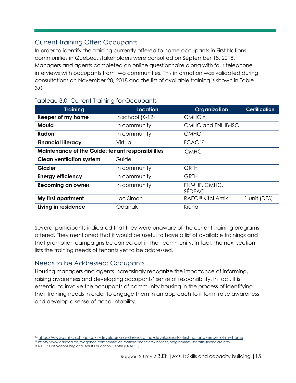### <span id="page-14-0"></span>Current Training Offer: Occupants

In order to identify the training currently offered to home occupants in First Nations communities in Quebec, stakeholders were consulted on September 18, 2018. Managers and agents completed an online questionnaire along with four telephone interviews with occupants from two communities. This information was validated during consultations on November 28, 2018 and the list of available training is shown in Table 3.0.

| <b>Training</b>                                            | Location           | Organization                  | <b>Certification</b> |
|------------------------------------------------------------|--------------------|-------------------------------|----------------------|
| Keeper of my home                                          | In school $(K-12)$ | CMHC <sup>16</sup>            |                      |
| Mould                                                      | In community       | CMHC and FNIHB-ISC            |                      |
| Radon                                                      | In community       | <b>CMHC</b>                   |                      |
| FCAC <sup>17</sup><br><b>Financial literacy</b><br>Virtual |                    |                               |                      |
| <b>Maintenance et the Guide: tenant responsibilities</b>   |                    | <b>CMHC</b>                   |                      |
| <b>Clean ventilation system</b>                            | Guide              |                               |                      |
| <b>Glazier</b>                                             | In community       | <b>GRTH</b>                   |                      |
| <b>Energy efficiency</b>                                   | In community       | <b>GRTH</b>                   |                      |
| <b>Becoming an owner</b>                                   | In community       | FNMHF, CMHC,<br>SÉDEAC        |                      |
| My first apartment                                         | Lac Simon          | RAEC <sup>18</sup> Kitci Amik | 1 unit (DES)         |
| Living in residence                                        | Odanak             | Kiuna                         |                      |

#### <span id="page-14-1"></span>Tableau 3.0: Current Training for Occupants

Several participants indicated that they were unaware of the current training programs offered. They mentioned that it would be useful to have a list of available trainings and that promotion campaigns be carried out in their community. In fact, the next section lists the training needs of tenants yet to be addressed.

### <span id="page-14-2"></span>Needs to be Addressed: Occupants

Housing managers and agents increasingly recognize the importance of informing, raising awareness and developing occupants' sense of responsibility. In fact, it is essential to involve the occupants of community housing in the process of identifying their training needs in order to engage them in an approach to inform, raise awareness and develop a sense of accountability.

<sup>17</sup> <https://www.canada.ca/fr/agence-consommation-matiere-financiere/services/programmes-litteratie-financiere.html>

<sup>16</sup> <https://www.cmhc-schl.gc.ca/fr/developing-and-renovating/developing-for-first-nations/keeper-of-my-home>

<sup>18</sup> RAEC: First Nations Regional Adult Education Centre [\(FNAESC\)](http://www.conseilscolaire-schoolcouncil.com/kitci-amik.html)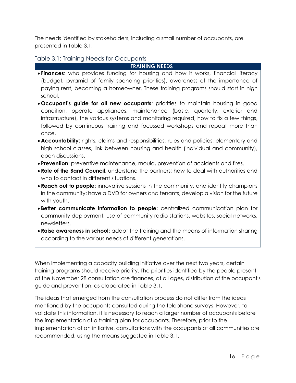The needs identified by stakeholders, including a small number of occupants, are presented in Table 3.1.

#### <span id="page-15-0"></span>Table 3.1: Training Needs for Occupants

**TRAINING NEEDS**

- **Finances**: who provides funding for housing and how it works, financial literacy (budget, pyramid of family spending priorities), awareness of the importance of paying rent, becoming a homeowner. These training programs should start in high school.
- **Occupant's guide for all new occupants**: priorities to maintain housing in good condition, operate appliances, maintenance (basic, quarterly, exterior and infrastructure), the various systems and monitoring required, how to fix a few things, followed by continuous training and focussed workshops and repeat more than once.
- **Accountability**: rights, claims and responsibilities, rules and policies, elementary and high school classes, link between housing and health (individual and community), open discussions.
- **Prevention**: preventive maintenance, mould, prevention of accidents and fires.
- **Role of the Band Council**: understand the partners; how to deal with authorities and who to contact in different situations.
- **Reach out to people:** innovative sessions in the community, and identify champions in the community; have a DVD for owners and tenants, develop a vision for the future with youth.
- **Better communicate information to people:** centralized communication plan for community deployment, use of community radio stations, websites, social networks, newsletters.
- **Raise awareness in school:** adapt the training and the means of information sharing according to the various needs of different generations.

When implementing a capacity building initiative over the next two years, certain training programs should receive priority. The priorities identified by the people present at the November 28 consultation are finances, at all ages, distribution of the occupant's guide and prevention, as elaborated in Table 3.1.

The ideas that emerged from the consultation process do not differ from the ideas mentioned by the occupants consulted during the telephone surveys. However, to validate this information, it is necessary to reach a larger number of occupants before the implementation of a training plan for occupants. Therefore, prior to the implementation of an initiative, consultations with the occupants of all communities are recommended, using the means suggested in Table 3.1.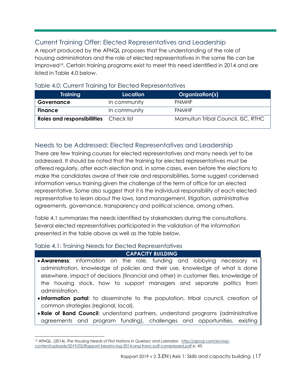### <span id="page-16-0"></span>Current Training Offer: Elected Representatives and Leadership

A report produced by the AFNQL proposes that the understanding of the role of housing administrators and the role of elected representatives in the same file can be improved<sup>19</sup> . Certain training programs exist to meet this need identified in 2014 and are listed in Table 4.0 below.

| <b>Training</b>                   | Location     | Organization(s)                    |
|-----------------------------------|--------------|------------------------------------|
| Governance                        | In community | <b>FNMHF</b>                       |
| <b>Finance</b>                    | In community | <b>FNMHF</b>                       |
| <b>Roles and responsibilities</b> | Check list   | Mamuitun Tribal Council, ISC, RTHC |

#### <span id="page-16-1"></span>Table 4.0: Current Training for Elected Representatives

### <span id="page-16-2"></span>Needs to be Addressed: Elected Representatives and Leadership

There are few training courses for elected representatives and many needs yet to be addressed. It should be noted that the training for elected representatives must be offered regularly, after each election and, in some cases, even before the elections to make the candidates aware of their role and responsibilities. Some suggest condensed information versus training given the challenge of the term of office for an elected representative. Some also suggest that it is the individual responsibility of each elected representative to learn about the laws, land management, litigation, administrative agreements, governance, transparency and political science, among others.

Table 4.1 summarizes the needs identified by stakeholders during the consultations. Several elected representatives participated in the validation of the information presented in the table above as well as the table below.

#### <span id="page-16-3"></span>Table 4.1: Training Needs for Elected Representatives

 $\overline{a}$ 

#### **CAPACITY BUILDING**

- **Awareness**: information on the role, funding and lobbying necessary vs administration, knowledge of policies and their use, knowledge of what is done elsewhere, impact of decisions (financial and other) in customer files, knowledge of the housing stock, how to support managers and separate politics from administration.
- **Information portal**: to disseminate to the population, tribal council, creation of common strategies (regional, local).
- **Role of Band Council**: understand partners, understand programs (administrative agreements and program funding), challenges and opportunities, existing

<sup>19</sup> AFNQL. (2014). *The Housing Needs of First Nations in Quebec and Labrador.* [http://apnql.com/en/wp](http://apnql.com/en/wp-content/uploads/2019/02/Rapport-besoins-log-2014-ang-franc-pdf-compressed.pdf)[content/uploads/2019/02/Rapport-besoins-log-2014-ang-franc-pdf-compressed.pdf](http://apnql.com/en/wp-content/uploads/2019/02/Rapport-besoins-log-2014-ang-franc-pdf-compressed.pdf) p. 43.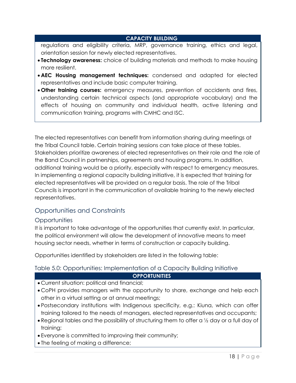#### **CAPACITY BUILDING**

regulations and eligibility criteria, MRP, governance training, ethics and legal, orientation session for newly elected representatives.

- **Technology awareness:** choice of building materials and methods to make housing more resilient.
- **AEC Housing management techniques:** condensed and adapted for elected representatives and include basic computer training.
- **Other training courses:** emergency measures, prevention of accidents and fires, understanding certain technical aspects (and appropriate vocabulary) and the effects of housing on community and individual health, active listening and communication training, programs with CMHC and ISC.

The elected representatives can benefit from information sharing during meetings at the Tribal Council table. Certain training sessions can take place at these tables. Stakeholders prioritize awareness of elected representatives on their role and the role of the Band Council in partnerships, agreements and housing programs. In addition, additional training would be a priority, especially with respect to emergency measures. In implementing a regional capacity building initiative, it is expected that training for elected representatives will be provided on a regular basis. The role of the Tribal Councils is important in the communication of available training to the newly elected representatives.

### <span id="page-17-0"></span>Opportunities and Constraints

#### <span id="page-17-1"></span>**Opportunities**

It is important to take advantage of the opportunities that currently exist. In particular, the political environment will allow the development of innovative means to meet housing sector needs, whether in terms of construction or capacity building.

Opportunities identified by stakeholders are listed in the following table:

#### <span id="page-17-2"></span>Table 5.0: Opportunities: Implementation of a Capacity Building Initiative

#### **OPPORTUNITIES**

- Current situation: political and financial;
- CoPH provides managers with the opportunity to share, exchange and help each other in a virtual setting or at annual meetings;
- Postsecondary institutions with Indigenous specificity, e.g.: Kiuna, which can offer training tailored to the needs of managers, elected representatives and occupants;
- Regional tables and the possibility of structuring them to offer a ½ day or a full day of training;
- Everyone is committed to improving their community;
- The feeling of making a difference;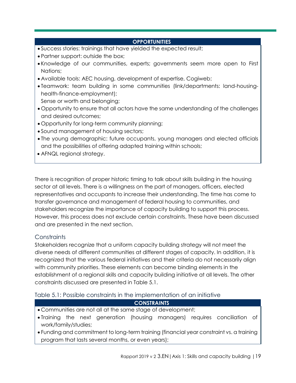#### **OPPORTUNITIES**

- Success stories: trainings that have yielded the expected result;
- Partner support: outside the box;
- Knowledge of our communities, experts; governments seem more open to First Nations;
- Available tools: AEC housing, development of expertise, Cogiweb;
- Teamwork: team building in some communities (link/departments: land-housinghealth-finance-employment);

Sense or worth and belonging;

- Opportunity to ensure that all actors have the same understanding of the challenges and desired outcomes;
- Opportunity for long-term community planning;
- Sound management of housing sectors;
- The young demographic: future occupants, young managers and elected officials and the possibilities of offering adapted training within schools;
- AFNQL regional strategy.

There is recognition of proper historic timing to talk about skills building in the housing sector at all levels. There is a willingness on the part of managers, officers, elected representatives and occupants to increase their understanding. The time has come to transfer governance and management of federal housing to communities, and stakeholders recognize the importance of capacity building to support this process. However, this process does not exclude certain constraints. These have been discussed and are presented in the next section.

#### <span id="page-18-0"></span>**Constraints**

Stakeholders recognize that a uniform capacity building strategy will not meet the diverse needs of different communities at different stages of capacity. In addition, it is recognized that the various federal initiatives and their criteria do not necessarily align with community priorities. These elements can become binding elements in the establishment of a regional skills and capacity building initiative at all levels. The other constraints discussed are presented in Table 5.1.

<span id="page-18-1"></span>Table 5.1: Possible constraints in the implementation of an initiative

#### **CONSTRAINTS**

- Communities are not all at the same stage of development;
- Training the next generation (housing managers) requires conciliation of work/family/studies;
- Funding and commitment to long-term training (financial year constraint vs. a training program that lasts several months, or even years);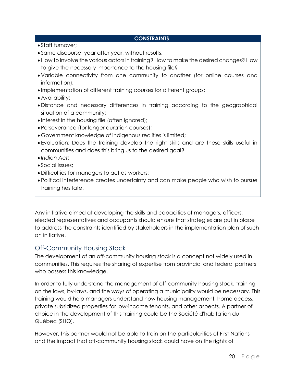#### **CONSTRAINTS**

- Staff turnover;
- Same discourse, year after year, without results;
- How to involve the various actors in training? How to make the desired changes? How to give the necessary importance to the housing file?
- Variable connectivity from one community to another (for online courses and information);
- Implementation of different training courses for different groups;
- Availability;
- Distance and necessary differences in training according to the geographical situation of a community;
- Interest in the housing file (often ignored);
- Perseverance (for longer duration courses);
- Government knowledge of indigenous realities is limited;
- Evaluation: Does the training develop the right skills and are these skills useful in communities and does this bring us to the desired goal?
- *Indian Act*;
- Social issues;
- Difficulties for managers to act as workers;
- Political interference creates uncertainty and can make people who wish to pursue training hesitate.

Any initiative aimed at developing the skills and capacities of managers, officers, elected representatives and occupants should ensure that strategies are put in place to address the constraints identified by stakeholders in the implementation plan of such an initiative.

### <span id="page-19-0"></span>Off-Community Housing Stock

The development of an off-community housing stock is a concept not widely used in communities. This requires the sharing of expertise from provincial and federal partners who possess this knowledge.

In order to fully understand the management of off-community housing stock, training on the laws, by-laws, and the ways of operating a municipality would be necessary. This training would help managers understand how housing management, home access, private subsidized properties for low-income tenants, and other aspects. A partner of choice in the development of this training could be the Société d'habitation du Québec (SHQ).

However, this partner would not be able to train on the particularities of First Nations and the impact that off-community housing stock could have on the rights of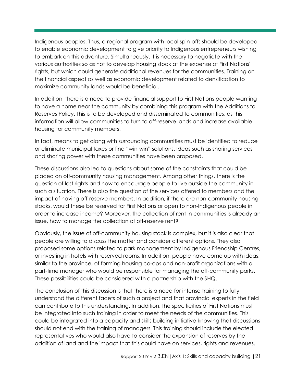Indigenous peoples. Thus, a regional program with local spin-offs should be developed to enable economic development to give priority to Indigenous entrepreneurs wishing to embark on this adventure. Simultaneously, it is necessary to negotiate with the various authorities so as not to develop housing stock at the expense of First Nations' rights, but which could generate additional revenues for the communities. Training on the financial aspect as well as economic development related to densification to maximize community lands would be beneficial.

In addition, there is a need to provide financial support to First Nations people wanting to have a home near the community by combining this program with the Additions to Reserves Policy. This is to be developed and disseminated to communities, as this information will allow communities to turn to off-reserve lands and increase available housing for community members.

In fact, means to get along with surrounding communities must be identified to reduce or eliminate municipal taxes or find "win-win" solutions. Ideas such as sharing services and sharing power with these communities have been proposed.

These discussions also led to questions about some of the constraints that could be placed on off-community housing management. Among other things, there is the question of lost rights and how to encourage people to live outside the community in such a situation. There is also the question of the services offered to members and the impact of having off-reserve members. In addition, if there are non-community housing stocks, would these be reserved for First Nations or open to non-Indigenous people in order to increase income? Moreover, the collection of rent in communities is already an issue, how to manage the collection of off-reserve rent?

Obviously, the issue of off-community housing stock is complex, but it is also clear that people are willing to discuss the matter and consider different options. They also proposed some options related to park management by Indigenous Friendship Centres, or investing in hotels with reserved rooms. In addition, people have come up with ideas, similar to the province, of forming housing co-ops and non-profit organizations with a part-time manager who would be responsible for managing the off-community parks. These possibilities could be considered with a partnership with the SHQ.

The conclusion of this discussion is that there is a need for intense training to fully understand the different facets of such a project and that provincial experts in the field can contribute to this understanding. In addition, the specificities of First Nations must be integrated into such training in order to meet the needs of the communities. This could be integrated into a capacity and skills building initiative knowing that discussions should not end with the training of managers. This training should include the elected representatives who would also have to consider the expansion of reserves by the addition of land and the impact that this could have on services, rights and revenues.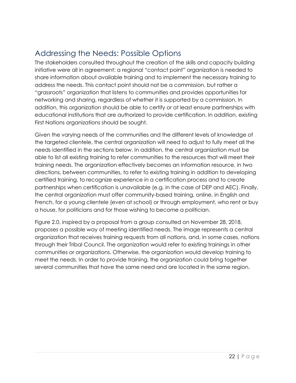# <span id="page-21-0"></span>Addressing the Needs: Possible Options

The stakeholders consulted throughout the creation of the skills and capacity building initiative were all in agreement: a regional "contact point" organization is needed to share information about available training and to implement the necessary training to address the needs. This contact point should not be a commission, but rather a "grassroots" organization that listens to communities and provides opportunities for networking and sharing, regardless of whether it is supported by a commission. In addition, this organization should be able to certify or at least ensure partnerships with educational institutions that are authorized to provide certification. In addition, existing First Nations organizations should be sought.

Given the varying needs of the communities and the different levels of knowledge of the targeted clientele, the central organization will need to adjust to fully meet all the needs identified in the sections below. In addition, the central organization must be able to list all existing training to refer communities to the resources that will meet their training needs. The organization effectively becomes an information resource, in two directions, between communities, to refer to existing training in addition to developing certified training, to recognize experience in a certification process and to create partnerships when certification is unavailable (e.g. in the case of DEP and AEC). Finally, the central organization must offer community-based training, online, in English and French, for a young clientele (even at school) or through employment, who rent or buy a house, for politicians and for those wishing to become a politician.

Figure 2.0, inspired by a proposal from a group consulted on November 28, 2018, proposes a possible way of meeting identified needs. The image represents a central organization that receives training requests from all nations, and, in some cases, nations through their Tribal Council. The organization would refer to existing trainings in other communities or organizations. Otherwise, the organization would develop training to meet the needs. In order to provide training, the organization could bring together several communities that have the same need and are located in the same region.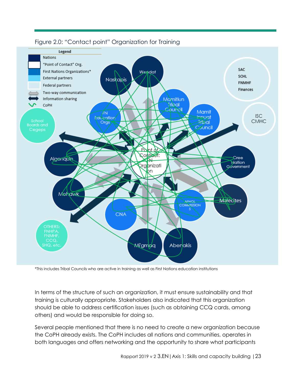

#### <span id="page-22-0"></span>Figure 2.0: "Contact point" Organization for Training

\*This includes Tribal Councils who are active in training as well as First Nations education institutions

In terms of the structure of such an organization, it must ensure sustainability and that training is culturally appropriate. Stakeholders also indicated that this organization should be able to address certification issues (such as obtaining CCQ cards, among others) and would be responsible for doing so.

Several people mentioned that there is no need to create a new organization because the CoPH already exists. The CoPH includes all nations and communities, operates in both languages and offers networking and the opportunity to share what participants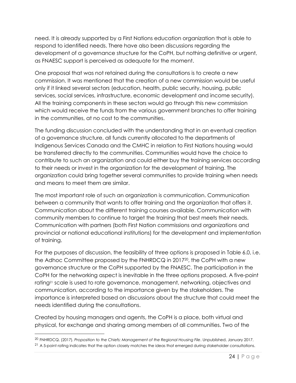need. It is already supported by a First Nations education organization that is able to respond to identified needs. There have also been discussions regarding the development of a governance structure for the CoPH, but nothing definitive or urgent, as FNAESC support is perceived as adequate for the moment.

One proposal that was not retained during the consultations is to create a new commission. It was mentioned that the creation of a new commission would be useful only if it linked several sectors (education, health, public security, housing, public services, social services, infrastructure, economic development and income security). All the training components in these sectors would go through this new commission which would receive the funds from the various government branches to offer training in the communities, at no cost to the communities.

The funding discussion concluded with the understanding that in an eventual creation of a governance structure, all funds currently allocated to the departments of Indigenous Services Canada and the CMHC in relation to First Nations housing would be transferred directly to the communities. Communities would have the choice to contribute to such an organization and could either buy the training services according to their needs or invest in the organization for the development of training. The organization could bring together several communities to provide training when needs and means to meet them are similar.

The most important role of such an organization is communication. Communication between a community that wants to offer training and the organization that offers it. Communication about the different training courses available. Communication with community members to continue to target the training that best meets their needs. Communication with partners (both First Nation commissions and organizations and provincial or national educational institutions) for the development and implementation of training.

For the purposes of discussion, the feasibility of three options is proposed in Table 6.0, i.e. the Adhoc Committee proposed by the FNHRDCQ in 2017<sup>20</sup> , the CoPH with a new governance structure or the CoPH supported by the FNAESC. The participation in the CoPH for the networking aspect is inevitable in the three options proposed. A five-point rating<sup>21</sup> scale is used to rate governance, management, networking, objectives and communication, according to the importance given by the stakeholders. The importance is interpreted based on discussions about the structure that could meet the needs identified during the consultations.

Created by housing managers and agents, the CoPH is a place, both virtual and physical, for exchange and sharing among members of all communities. Two of the

 $\overline{a}$ 

<sup>20</sup> FNHRDCQ. (2017). *Proposition to the Chiefs: Management of the Regional Housing File*. Unpublished, January 2017.

<sup>&</sup>lt;sup>21</sup> A 5-point rating indicates that the option closely matches the ideas that emerged during stakeholder consultations.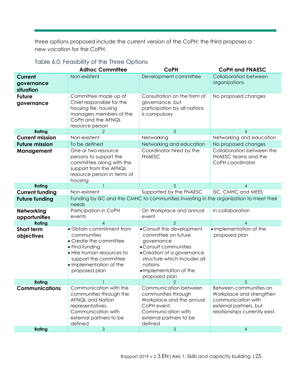three options proposed include the current version of the CoPH; the third proposes a new vocation for the CoPH.

|                                    | <b>Adhoc Committee</b>                                                                                                                                                                | <b>CoPH</b>                                                                                                                                                                                                  | <b>CoPH and FNAESC</b>                                                                                                               |  |  |
|------------------------------------|---------------------------------------------------------------------------------------------------------------------------------------------------------------------------------------|--------------------------------------------------------------------------------------------------------------------------------------------------------------------------------------------------------------|--------------------------------------------------------------------------------------------------------------------------------------|--|--|
| Current<br>governance<br>situation | Non-existent                                                                                                                                                                          | Development committee                                                                                                                                                                                        | <b>Collaboration between</b><br>organizations                                                                                        |  |  |
| <b>Future</b><br>governance        | Committee made up of<br>Chief responsible for the<br>housing file, housing<br>managers members of the<br>CoPH and the AFNQL<br>resource person                                        | Consultation on the form of<br>governance, but<br>participation by all nations<br>is compulsory                                                                                                              | No proposed changes                                                                                                                  |  |  |
| Rating                             |                                                                                                                                                                                       | 3                                                                                                                                                                                                            | 4                                                                                                                                    |  |  |
| <b>Current mission</b>             | Non-existent                                                                                                                                                                          | Networking                                                                                                                                                                                                   | Networking and education                                                                                                             |  |  |
| <b>Future mission</b>              | To be defined                                                                                                                                                                         | Networking and education                                                                                                                                                                                     | No proposed changes                                                                                                                  |  |  |
| Management                         | One or two resource<br>persons to support the<br>committee along with the<br>support from the AFNQL<br>resource person in terms of<br>housing                                         | Coordinator hired by the<br><b>FNAESC</b>                                                                                                                                                                    | Collaboration between the<br>FNAESC teams and the<br>CoPH coordinator                                                                |  |  |
| Rating                             |                                                                                                                                                                                       | 3                                                                                                                                                                                                            | 4                                                                                                                                    |  |  |
| <b>Current funding</b>             | Non-existent                                                                                                                                                                          | Supported by the FNAESC                                                                                                                                                                                      | ISC, CMHC and MEES                                                                                                                   |  |  |
| <b>Future funding</b>              | needs                                                                                                                                                                                 | Funding by ISC and the CMHC to communities investing in the organization to meet their                                                                                                                       |                                                                                                                                      |  |  |
| Networking<br>opportunities        | Participation in CoPH<br>events                                                                                                                                                       | On Workplace and annual<br>event                                                                                                                                                                             | In collaboration                                                                                                                     |  |  |
| Rating                             |                                                                                                                                                                                       | 5                                                                                                                                                                                                            | 4                                                                                                                                    |  |  |
| Short term<br>objectives           | • Obtain commitment from<br>communities<br>• Create the committee<br>• Find funding<br>• Hire human resources to<br>support the committee<br>• Implementation of the<br>proposed plan | • Consult the development<br>committee on future<br>governance<br>• Consult communities<br>• Creation of a governance<br>structure which includes all<br>nations<br>. Implementation of the<br>proposed plan | . Implementation of the<br>proposed plan                                                                                             |  |  |
| Rating                             |                                                                                                                                                                                       |                                                                                                                                                                                                              | 5                                                                                                                                    |  |  |
| <b>Communications</b>              | Communication with the<br>communities through the<br>AFNQL and Nation<br>representatives.<br>Communication with<br>external partners to be<br>defined                                 | Communication between<br>communities through<br>Workplace and the annual<br>CoPH event.<br>Communication with<br>external partners to be<br>defined                                                          | Between communities on<br>Workplace and strengthen<br>communication with<br>external partners, but<br>relationships currently exist. |  |  |
| Rating                             | $\mathfrak{S}$                                                                                                                                                                        | $\mathfrak{Z}$                                                                                                                                                                                               | 4                                                                                                                                    |  |  |

### <span id="page-24-0"></span>Table 6.0: Feasibility of the Three Options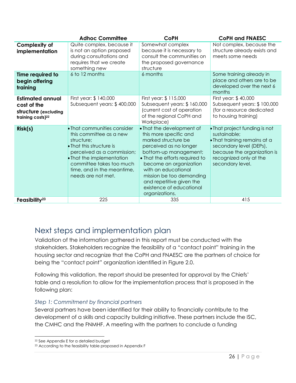|                                                                                                 | <b>Adhoc Committee</b>                                                                                                                                                                                                                      | <b>CoPH</b>                                                                                                                                                                                                                                                                                                            | <b>CoPH and FNAESC</b>                                                                                                                                                                |
|-------------------------------------------------------------------------------------------------|---------------------------------------------------------------------------------------------------------------------------------------------------------------------------------------------------------------------------------------------|------------------------------------------------------------------------------------------------------------------------------------------------------------------------------------------------------------------------------------------------------------------------------------------------------------------------|---------------------------------------------------------------------------------------------------------------------------------------------------------------------------------------|
| <b>Complexity of</b><br>implementation                                                          | Quite complex, because it<br>is not an option proposed<br>during consultations and<br>requires that we create<br>something new                                                                                                              | Somewhat complex<br>because it is necessary to<br>consult the communities on<br>the proposed governance<br>structure                                                                                                                                                                                                   | Not complex, because the<br>structure already exists and<br>meets some needs                                                                                                          |
| Time required to<br>begin offering<br>training                                                  | 6 to 12 months                                                                                                                                                                                                                              | 6 months                                                                                                                                                                                                                                                                                                               | Some training already in<br>place and others are to be<br>developed over the next 6<br>months                                                                                         |
| <b>Estimated annual</b><br>cost of the<br>structure (excluding<br>training costs) <sup>22</sup> | First year: \$140,000<br>Subsequent years: \$400,000                                                                                                                                                                                        | First year: \$115,000<br>Subsequent years: \$160,000<br>(current cost of operation<br>of the regional CoPH and<br>Workplace)                                                                                                                                                                                           | First year: \$40,000<br>Subsequent years: \$100,000<br>(for a resource dedicated<br>to housing training)                                                                              |
| Risk(s)                                                                                         | • That communities consider<br>this committee as a new<br>structure;<br>• That this structure is<br>perceived as a commission;<br>• That the implementation<br>committee takes too much<br>time, and in the meantime,<br>needs are not met. | • That the development of<br>this more specific and<br>marked structure be<br>perceived as no longer<br>bottom-up management;<br>• That the efforts required to<br>become an organization<br>with an educational<br>mission be too demanding<br>and repetitive given the<br>existence of educational<br>organizations. | • That project funding is not<br>sustainable;<br>. That training remains at a<br>secondary level (DEPs),<br>because the organization is<br>recognized only at the<br>secondary level. |
| Feasibility <sup>23</sup>                                                                       | 225                                                                                                                                                                                                                                         | 335                                                                                                                                                                                                                                                                                                                    | 415                                                                                                                                                                                   |

## <span id="page-25-0"></span>Next steps and implementation plan

Validation of the information gathered in this report must be conducted with the stakeholders. Stakeholders recognize the feasibility of a "contact point" training in the housing sector and recognize that the CoPH and FNAESC are the partners of choice for being the "contact point" organization identified in Figure 2.0.

Following this validation, the report should be presented for approval by the Chiefs' table and a resolution to allow for the implementation process that is proposed in the following plan:

### *Step 1: Commitment by financial partners*

Several partners have been identified for their ability to financially contribute to the development of a skills and capacity building initiative. These partners include the ISC, the CMHC and the FNMHF. A meeting with the partners to conclude a funding

 $\overline{a}$ 

<sup>22</sup> See Appendix E for a detailed budget

<sup>23</sup> According to the feasibility table proposed in Appendix F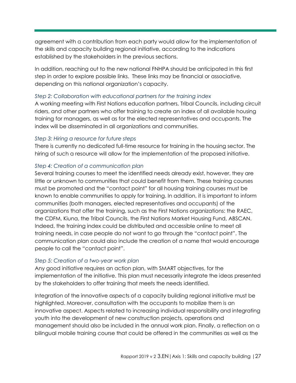agreement with a contribution from each party would allow for the implementation of the skills and capacity building regional initiative, according to the indications established by the stakeholders in the previous sections.

In addition, reaching out to the new national FNHPA should be anticipated in this first step in order to explore possible links. These links may be financial or associative, depending on this national organization's capacity.

#### *Step 2: Collaboration with educational partners for the training index*

A working meeting with First Nations education partners, Tribal Councils, including circuit riders, and other partners who offer training to create an index of all available housing training for managers, as well as for the elected representatives and occupants. The index will be disseminated in all organizations and communities.

#### *Step 3: Hiring a resource for future steps*

There is currently no dedicated full-time resource for training in the housing sector. The hiring of such a resource will allow for the implementation of the proposed initiative.

#### *Step 4: Creation of a communication plan*

Several training courses to meet the identified needs already exist, however, they are little or unknown to communities that could benefit from them. These training courses must be promoted and the "contact point" for all housing training courses must be known to enable communities to apply for training. In addition, it is important to inform communities (both managers, elected representatives and occupants) of the organizations that offer the training, such as the First Nations organizations: the RAEC, the CDFM, Kiuna, the Tribal Councils, the First Nations Market Housing Fund, ABSCAN. Indeed, the training index could be distributed and accessible online to meet all training needs, in case people do not want to go through the "contact point". The communication plan could also include the creation of a name that would encourage people to call the "contact point".

#### *Step 5: Creation of a two-year work plan*

Any good initiative requires an action plan, with SMART objectives, for the implementation of the initiative. This plan must necessarily integrate the ideas presented by the stakeholders to offer training that meets the needs identified.

Integration of the innovative aspects of a capacity building regional initiative must be highlighted. Moreover, consultation with the occupants to mobilize them is an innovative aspect. Aspects related to increasing individual responsibility and integrating youth into the development of new construction projects, operations and management should also be included in the annual work plan. Finally, a reflection on a bilingual mobile training course that could be offered in the communities as well as the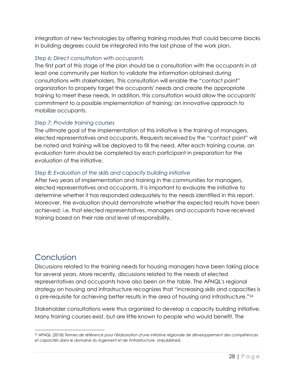integration of new technologies by offering training modules that could become blocks in building degrees could be integrated into the last phase of the work plan.

#### *Step 6: Direct consultation with occupants*

The first part of this stage of the plan should be a consultation with the occupants in at least one community per Nation to validate the information obtained during consultations with stakeholders. This consultation will enable the "contact point" organization to properly target the occupants' needs and create the appropriate training to meet these needs. In addition, this consultation would allow the occupants' commitment to a possible implementation of training; an innovative approach to mobilize occupants.

#### *Step 7: Provide training courses*

The ultimate goal of the implementation of this initiative is the training of managers, elected representatives and occupants. Requests received by the "contact point" will be noted and training will be deployed to fill the need. After each training course, an evaluation form should be completed by each participant in preparation for the evaluation of the initiative.

### *Step 8: Evaluation of the skills and capacity building initiative*

After two years of implementation and training in the communities for managers, elected representatives and occupants, it is important to evaluate the initiative to determine whether it has responded adequately to the needs identified in this report. Moreover, the evaluation should demonstrate whether the expected results have been achieved; i.e. that elected representatives, managers and occupants have received training based on their role and level of responsibility.

# <span id="page-27-0"></span>Conclusion

Discussions related to the training needs for housing managers have been taking place for several years. More recently, discussions related to the needs of elected representatives and occupants have also been on the table. The AFNQL's regional strategy on housing and infrastructure recognizes that "increasing skills and capacities is a pre-requisite for achieving better results in the area of housing and infrastructure."<sup>24</sup>

Stakeholder consultations were thus organized to develop a capacity building initiative. Many training courses exist, but are little known to people who would benefit. The

 <sup>24</sup> AFNQL (2018) *Termes de référence pour l'élaboration d'une initiative régionale de développement des compétences et capacités dans le domaine du logement et de l'infrastructure*. Unpublished.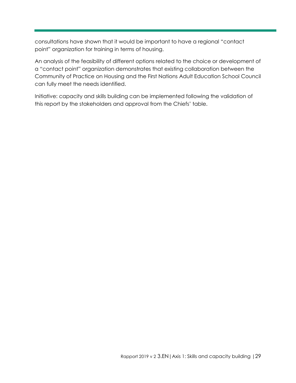consultations have shown that it would be important to have a regional "contact point" organization for training in terms of housing.

An analysis of the feasibility of different options related to the choice or development of a "contact point" organization demonstrates that existing collaboration between the Community of Practice on Housing and the First Nations Adult Education School Council can fully meet the needs identified.

Initiative: capacity and skills building can be implemented following the validation of this report by the stakeholders and approval from the Chiefs' table.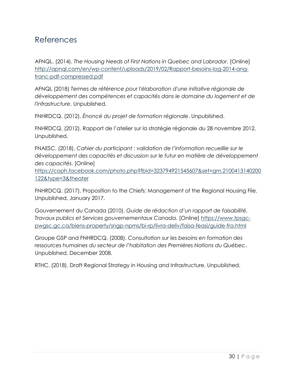### <span id="page-29-0"></span>References

AFNQL. (2014). *The Housing Needs of First Nations in Quebec and Labrador.* [Online] [http://apnql.com/en/wp-content/uploads/2019/02/Rapport-besoins-log-2014-ang](http://apnql.com/en/wp-content/uploads/2019/02/Rapport-besoins-log-2014-ang-franc-pdf-compressed.pdf)[franc-pdf-compressed.pdf](http://apnql.com/en/wp-content/uploads/2019/02/Rapport-besoins-log-2014-ang-franc-pdf-compressed.pdf)

AFNQL (2018) *Termes de référence pour l'élaboration d'une initiative régionale de développement des compétences et capacités dans le domaine du logement et de l'infrastructure*. Unpublished.

FNHRDCQ. (2012). *Énoncé du projet de formation régionale*. Unpublished.

FNHRDCQ. (2012). Rapport de l'atelier sur la stratégie régionale du 28 novembre 2012. Unpublished.

FNAESC. (2018). *Cahier du participant : validation de l'information recueillie sur le développement des capacités et discussion sur le futur en matière de développement des capacités*. [Online]

[https://coph.facebook.com/photo.php?fbid=323794921545607&set=gm.2100413140200](https://coph.facebook.com/photo.php?fbid=323794921545607&set=gm.2100413140200122&type=3&theater) [122&type=3&theater](https://coph.facebook.com/photo.php?fbid=323794921545607&set=gm.2100413140200122&type=3&theater) 

FNHRDCQ. (2017). Proposition to the Chiefs: Management of the Regional Housing File. Unpublished, January 2017.

Gouvernement du Canada (2010). *Guide de rédaction d'un rapport de faisabilité. Travaux publics et Services gouvernementaux Canada.* [Online] [https://www.tpsgc](https://www.tpsgc-pwgsc.gc.ca/biens-property/sngp-npms/bi-rp/livra-deliv/faisa-feasi/guide-fra.html)[pwgsc.gc.ca/biens-property/sngp-npms/bi-rp/livra-deliv/faisa-feasi/guide-fra.html](https://www.tpsgc-pwgsc.gc.ca/biens-property/sngp-npms/bi-rp/livra-deliv/faisa-feasi/guide-fra.html)

Groupe GSP and FNHRDCQ. (2008). *Consultation sur les besoins en formation des ressources humaines du secteur de l'habitation des Premières Nations du Québec*. Unpublished, December 2008.

RTHC. (2018). Draft Regional Strategy in Housing and Infrastructure. Unpublished.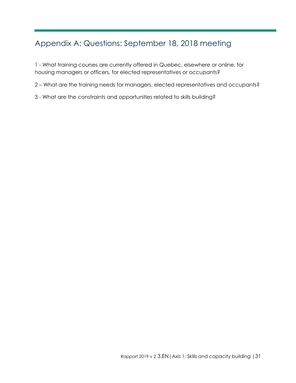# <span id="page-30-0"></span>Appendix A: Questions: September 18, 2018 meeting

1 - What training courses are currently offered in Quebec, elsewhere or online, for housing managers or officers, for elected representatives or occupants?

2 – What are the training needs for managers, elected representatives and occupants?

3 - What are the constraints and opportunities related to skills building?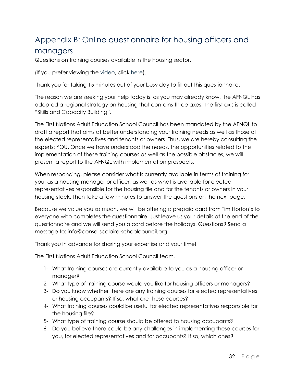# <span id="page-31-0"></span>Appendix B: Online questionnaire for housing officers and

### managers

Questions on training courses available in the housing sector.

(If you prefer viewing the [video,](http://www.conseilscolaire-schoolcouncil.com/habitation--housing.html) click [here\)](http://www.conseilscolaire-schoolcouncil.com/habitation--housing.html).

Thank you for taking 15 minutes out of your busy day to fill out this questionnaire.

The reason we are seeking your help today is, as you may already know, the AFNQL has adopted a regional strategy on housing that contains three axes. The first axis is called "Skills and Capacity Building".

The First Nations Adult Education School Council has been mandated by the AFNQL to draft a report that aims at better understanding your training needs as well as those of the elected representatives and tenants or owners. Thus, we are hereby consulting the experts: YOU. Once we have understood the needs, the opportunities related to the implementation of these training courses as well as the possible obstacles, we will present a report to the AFNQL with implementation prospects.

When responding, please consider what is currently available in terms of training for you, as a housing manager or officer, as well as what is available for elected representatives responsible for the housing file and for the tenants or owners in your housing stock. Then take a few minutes to answer the questions on the next page.

Because we value you so much, we will be offering a prepaid card from Tim Horton's to everyone who completes the questionnaire. Just leave us your details at the end of the questionnaire and we will send you a card before the holidays. Questions? Send a message to: info@conseilscolaire-schoolcouncil.org

Thank you in advance for sharing your expertise and your time!

The First Nations Adult Education School Council team.

- 1- What training courses are currently available to you as a housing officer or manager?
- 2- What type of training course would you like for housing officers or managers?
- 3- Do you know whether there are any training courses for elected representatives or housing occupants? If so, what are these courses?
- 4- What training courses could be useful for elected representatives responsible for the housing file?
- 5- What type of training course should be offered to housing occupants?
- 6- Do you believe there could be any challenges in implementing these courses for you, for elected representatives and for occupants? If so, which ones?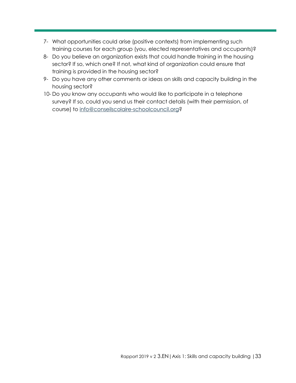- 7- What opportunities could arise (positive contexts) from implementing such training courses for each group (you, elected representatives and occupants)?
- 8- Do you believe an organization exists that could handle training in the housing sector? If so, which one? If not, what kind of organization could ensure that training is provided in the housing sector?
- 9- Do you have any other comments or ideas on skills and capacity building in the housing sector?
- 10- Do you know any occupants who would like to participate in a telephone survey? If so, could you send us their contact details (with their permission, of course) to [info@conseilscolaire-schoolcouncil.org?](mailto:info@conseilscolaire-schoolcouncil.org)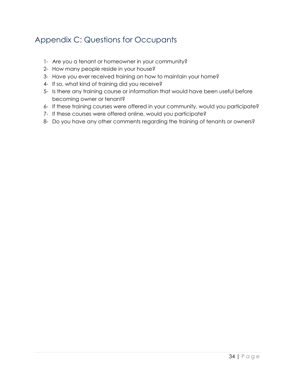# <span id="page-33-0"></span>Appendix C: Questions for Occupants

- 1- Are you a tenant or homeowner in your community?
- 2- How many people reside in your house?
- 3- Have you ever received training on how to maintain your home?
- 4- If so, what kind of training did you receive?
- 5- Is there any training course or information that would have been useful before becoming owner or tenant?
- 6- If these training courses were offered in your community, would you participate?
- 7- If these courses were offered online, would you participate?
- 8- Do you have any other comments regarding the training of tenants or owners?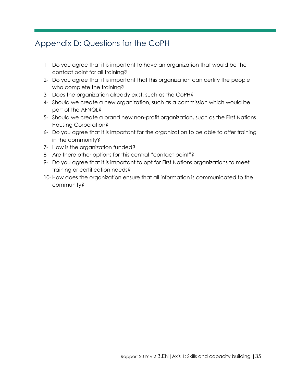# <span id="page-34-0"></span>Appendix D: Questions for the CoPH

- 1- Do you agree that it is important to have an organization that would be the contact point for all training?
- 2- Do you agree that it is important that this organization can certify the people who complete the training?
- 3- Does the organization already exist, such as the CoPH?
- 4- Should we create a new organization, such as a commission which would be part of the AFNQL?
- 5- Should we create a brand new non-profit organization, such as the First Nations Housing Corporation?
- 6- Do you agree that it is important for the organization to be able to offer training in the community?
- 7- How is the organization funded?
- 8- Are there other options for this central "contact point"?
- 9- Do you agree that it is important to opt for First Nations organizations to meet training or certification needs?
- 10- How does the organization ensure that all information is communicated to the community?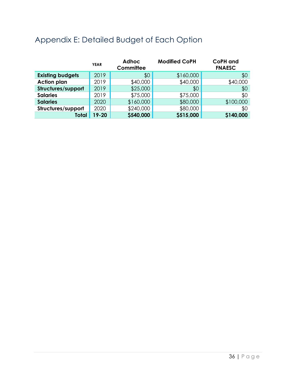|                         | <b>YEAR</b> | <b>Adhoc</b><br>Committee | <b>Modified CoPH</b> | <b>CoPH</b> and<br><b>FNAESC</b> |
|-------------------------|-------------|---------------------------|----------------------|----------------------------------|
| <b>Existing budgets</b> | 2019        | \$0                       | \$160,000            | \$0                              |
| <b>Action plan</b>      | 2019        | \$40,000                  | \$40,000             | \$40,000                         |
| Structures/support      | 2019        | \$25,000                  | \$0                  | \$0                              |
| <b>Salaries</b>         | 2019        | \$75,000                  | \$75,000             | \$0                              |
| <b>Salaries</b>         | 2020        | \$160,000                 | \$80,000             | \$100,000                        |
| Structures/support      | 2020        | \$240,000                 | \$80,000             | \$0                              |
| <b>Total</b>            | 19-20       | \$540,000                 | \$515,000            | \$140,000                        |

# <span id="page-35-0"></span>Appendix E: Detailed Budget of Each Option